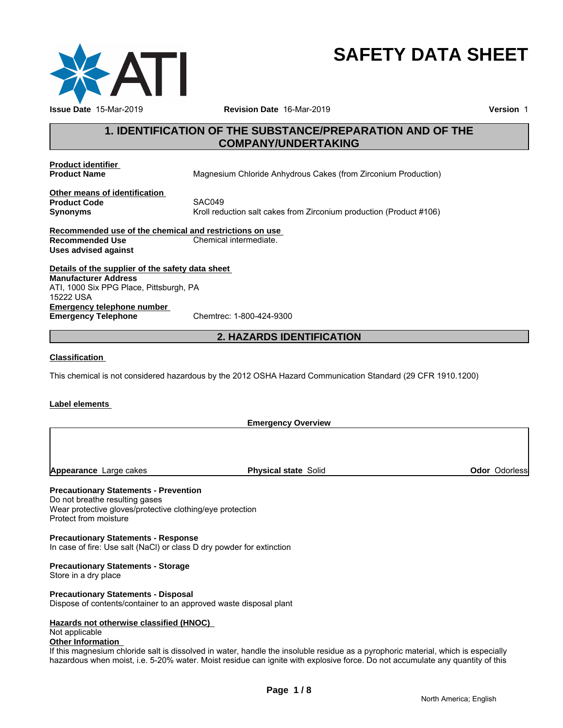

# **SAFETY DATA SHEET**

# **1. IDENTIFICATION OF THE SUBSTANCE/PREPARATION AND OF THE COMPANY/UNDERTAKING**

**Product identifier** 

**Magnesium Chloride Anhydrous Cakes (from Zirconium Production)** 

**Other means of identification Product Code** 

**Synonyms** Kroll reduction salt cakes from Zirconium production (Product #106)

**Recommended use of the chemical and restrictions on use Recommended Use Chemical intermediate. Uses advised against**

**Details of the supplier of the safety data sheet Emergency telephone number Emergency Telephone** Chemtrec: 1-800-424-9300 **Manufacturer Address** ATI, 1000 Six PPG Place, Pittsburgh, PA 15222 USA

# **2. HAZARDS IDENTIFICATION**

# **Classification**

This chemical is not considered hazardous by the 2012 OSHA Hazard Communication Standard (29 CFR 1910.1200)

# **Label elements**

**Emergency Overview**

**Appearance** Large cakes **Physical state** Solid **Odor** Odorless

# **Precautionary Statements - Prevention**

Do not breathe resulting gases Wear protective gloves/protective clothing/eye protection Protect from moisture

**Precautionary Statements - Response** In case of fire: Use salt (NaCl) or class D dry powder for extinction

# **Precautionary Statements - Storage**

Store in a dry place

# **Precautionary Statements - Disposal**

Dispose of contents/container to an approved waste disposal plant

# **Hazards not otherwise classified (HNOC)**

# Not applicable

# **Other Information**

If this magnesium chloride salt is dissolved in water, handle the insoluble residue as a pyrophoric material, which is especially hazardous when moist, i.e. 5-20% water. Moist residue can ignite with explosive force. Do not accumulate any quantity of this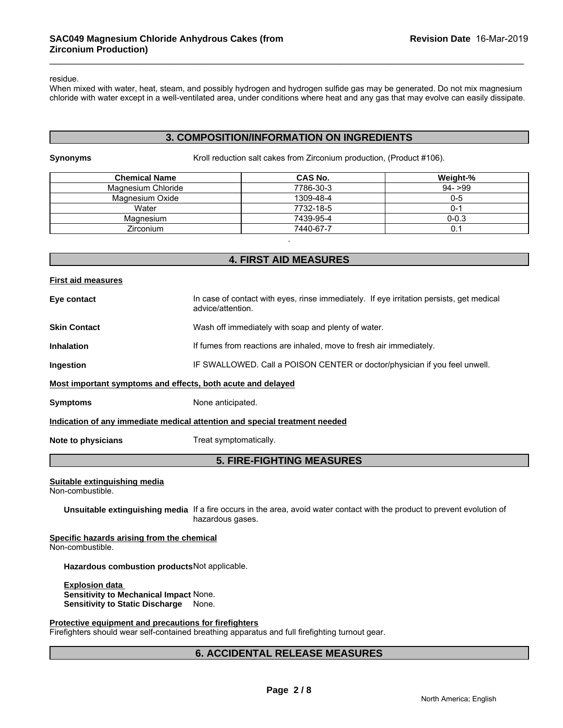residue.

When mixed with water, heat, steam, and possibly hydrogen and hydrogen sulfide gas may be generated. Do not mix magnesium chloride with water except in a well-ventilated area, under conditions where heat and any gas that may evolve can easily dissipate.

# **3. COMPOSITION/INFORMATION ON INGREDIENTS**

**Synonyms** Kroll reduction salt cakes from Zirconium production, (Product #106).

| <b>Chemical Name</b> | <b>CAS No.</b> | Weight-%  |
|----------------------|----------------|-----------|
| Magnesium Chloride   | 7786-30-3      | $94 - 99$ |
| Magnesium Oxide      | 1309-48-4      | $0 - 5$   |
| Water                | 7732-18-5      | ( ) - 1   |
| Magnesium            | 7439-95-4      | $0 - 0.3$ |
| <b>Zirconium</b>     | 7440-67-7      |           |

# **4. FIRST AID MEASURES**

# **First aid measures Eye contact** In case of contact with eyes, rinse immediately. If eye irritation persists, get medical advice/attention. **Skin Contact** Mash off immediately with soap and plenty of water. **Inhalation** If fumes from reactions are inhaled, move to fresh air immediately. **Ingestion IF SWALLOWED. Call a POISON CENTER or doctor/physician if you feel unwell. Most important symptoms and effects, both acute and delayed Symptoms** None anticipated.

**Indication of any immediate medical attention and special treatment needed**

**Note to physicians** Treat symptomatically.

# **5. FIRE-FIGHTING MEASURES**

## **Suitable extinguishing media**

Non-combustible.

**Unsuitable extinguishing media** If a fire occurs in the area, avoid water contact with the product to prevent evolution of hazardous gases.

**Specific hazards arising from the chemical** Non-combustible.

**Hazardous combustion products**Not applicable.

**Explosion data Sensitivity to Mechanical Impact** None. **Sensitivity to Static Discharge** None.

## **Protective equipment and precautions for firefighters**

Firefighters should wear self-contained breathing apparatus and full firefighting turnout gear.

**6. ACCIDENTAL RELEASE MEASURES**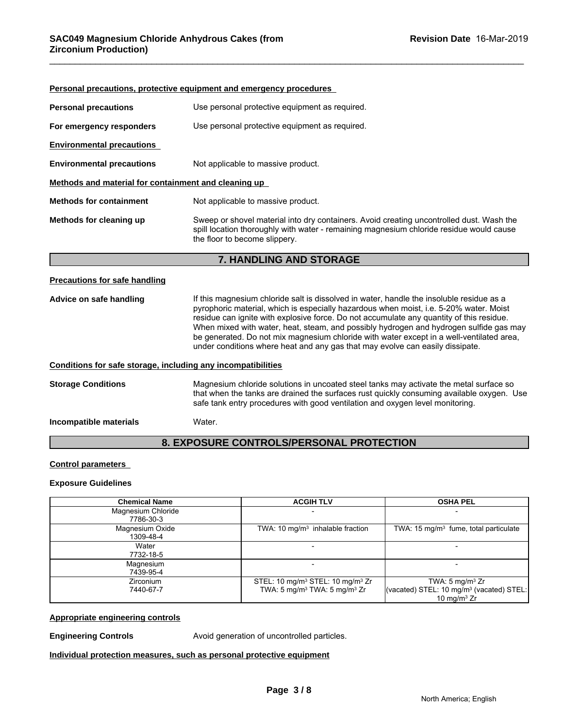|                                                      | <b>Personal precautions, protective equipment and emergency procedures</b>                                                                                                                                           |
|------------------------------------------------------|----------------------------------------------------------------------------------------------------------------------------------------------------------------------------------------------------------------------|
| <b>Personal precautions</b>                          | Use personal protective equipment as required.                                                                                                                                                                       |
| For emergency responders                             | Use personal protective equipment as required.                                                                                                                                                                       |
| <b>Environmental precautions</b>                     |                                                                                                                                                                                                                      |
| <b>Environmental precautions</b>                     | Not applicable to massive product.                                                                                                                                                                                   |
| Methods and material for containment and cleaning up |                                                                                                                                                                                                                      |
| <b>Methods for containment</b>                       | Not applicable to massive product.                                                                                                                                                                                   |
| Methods for cleaning up                              | Sweep or shovel material into dry containers. Avoid creating uncontrolled dust. Wash the<br>spill location thoroughly with water - remaining magnesium chloride residue would cause<br>the floor to become slippery. |

# **7. HANDLING AND STORAGE**

## **Precautions for safe handling**

Advice on safe handling **If this magnesium chloride salt is dissolved in water**, handle the insoluble residue as a pyrophoric material, which is especially hazardous when moist, i.e. 5-20% water. Moist residue can ignite with explosive force. Do not accumulate any quantity of this residue. When mixed with water, heat, steam, and possibly hydrogen and hydrogen sulfide gas may be generated. Do not mix magnesium chloride with water except in a well-ventilated area, under conditions where heat and any gas that may evolve can easily dissipate.

## **Conditions for safe storage, including any incompatibilities**

**Storage Conditions** Magnesium chloride solutions in uncoated steel tanks may activate the metal surface so that when the tanks are drained the surfaces rust quickly consuming available oxygen. Use safe tank entry procedures with good ventilation and oxygen level monitoring.

**Incompatible materials** Water.

# **8. EXPOSURE CONTROLS/PERSONAL PROTECTION**

## **Control parameters**

## **Exposure Guidelines**

| <b>Chemical Name</b> | <b>ACGIH TLV</b>                                         | <b>OSHA PEL</b>                                      |
|----------------------|----------------------------------------------------------|------------------------------------------------------|
| Magnesium Chloride   |                                                          |                                                      |
| 7786-30-3            |                                                          |                                                      |
| Magnesium Oxide      | TWA: 10 $mg/m3$ inhalable fraction                       | TWA: $15 \text{ mg/m}^3$ fume, total particulate     |
| 1309-48-4            |                                                          |                                                      |
| Water                |                                                          |                                                      |
| 7732-18-5            |                                                          |                                                      |
| Magnesium            |                                                          |                                                      |
| 7439-95-4            |                                                          |                                                      |
| <b>Zirconium</b>     | STEL: 10 mg/m <sup>3</sup> STEL: 10 mg/m <sup>3</sup> Zr | TWA: $5 \text{ mg/m}^3$ Zr                           |
| 7440-67-7            | TWA: 5 mg/m <sup>3</sup> TWA: 5 mg/m <sup>3</sup> Zr     | (vacated) STEL: 10 mg/m <sup>3</sup> (vacated) STEL: |
|                      |                                                          | 10 mg/m $3$ Zr                                       |

# **Appropriate engineering controls**

**Engineering Controls Avoid generation of uncontrolled particles.** 

**Individual protection measures, such as personal protective equipment**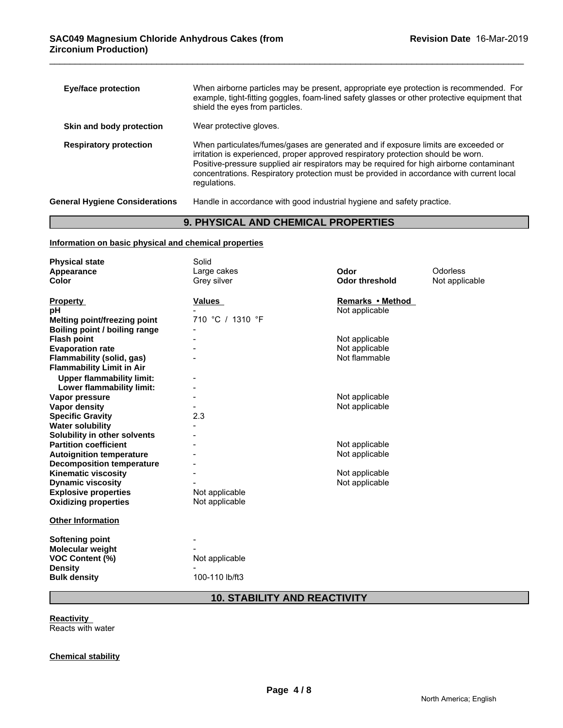| <b>Eye/face protection</b>            | When airborne particles may be present, appropriate eye protection is recommended. For<br>example, tight-fitting goggles, foam-lined safety glasses or other protective equipment that<br>shield the eyes from particles.                                                                                                                                                       |
|---------------------------------------|---------------------------------------------------------------------------------------------------------------------------------------------------------------------------------------------------------------------------------------------------------------------------------------------------------------------------------------------------------------------------------|
| Skin and body protection              | Wear protective gloves.                                                                                                                                                                                                                                                                                                                                                         |
| <b>Respiratory protection</b>         | When particulates/fumes/gases are generated and if exposure limits are exceeded or<br>irritation is experienced, proper approved respiratory protection should be worn.<br>Positive-pressure supplied air respirators may be required for high airborne contaminant<br>concentrations. Respiratory protection must be provided in accordance with current local<br>regulations. |
| <b>General Hygiene Considerations</b> | Handle in accordance with good industrial hygiene and safety practice.                                                                                                                                                                                                                                                                                                          |

# **9. PHYSICAL AND CHEMICAL PROPERTIES**

# **Information on basic physical and chemical properties**

| <b>Physical state</b>            | Solid            |                       |                |
|----------------------------------|------------------|-----------------------|----------------|
| Appearance                       | Large cakes      | Odor                  | Odorless       |
| <b>Color</b>                     | Grey silver      | <b>Odor threshold</b> | Not applicable |
|                                  |                  |                       |                |
| <b>Property</b>                  | <b>Values</b>    | Remarks • Method      |                |
| рH                               |                  | Not applicable        |                |
| Melting point/freezing point     | 710 °C / 1310 °F |                       |                |
| Boiling point / boiling range    |                  |                       |                |
| <b>Flash point</b>               |                  | Not applicable        |                |
| <b>Evaporation rate</b>          |                  | Not applicable        |                |
| Flammability (solid, gas)        |                  | Not flammable         |                |
| <b>Flammability Limit in Air</b> |                  |                       |                |
| <b>Upper flammability limit:</b> |                  |                       |                |
| Lower flammability limit:        |                  |                       |                |
| Vapor pressure                   |                  | Not applicable        |                |
| <b>Vapor density</b>             |                  | Not applicable        |                |
| <b>Specific Gravity</b>          | 2.3              |                       |                |
| <b>Water solubility</b>          |                  |                       |                |
| Solubility in other solvents     |                  |                       |                |
| <b>Partition coefficient</b>     |                  | Not applicable        |                |
| <b>Autoignition temperature</b>  |                  | Not applicable        |                |
| <b>Decomposition temperature</b> |                  |                       |                |
| <b>Kinematic viscosity</b>       |                  | Not applicable        |                |
| <b>Dynamic viscosity</b>         |                  | Not applicable        |                |
| <b>Explosive properties</b>      | Not applicable   |                       |                |
| <b>Oxidizing properties</b>      | Not applicable   |                       |                |
| <b>Other Information</b>         |                  |                       |                |
| <b>Softening point</b>           |                  |                       |                |
| <b>Molecular weight</b>          |                  |                       |                |
| VOC Content (%)                  | Not applicable   |                       |                |
| <b>Density</b>                   |                  |                       |                |
| <b>Bulk density</b>              | 100-110 lb/ft3   |                       |                |

# **10. STABILITY AND REACTIVITY**

**Reactivity** 

Reacts with water

# **Chemical stability**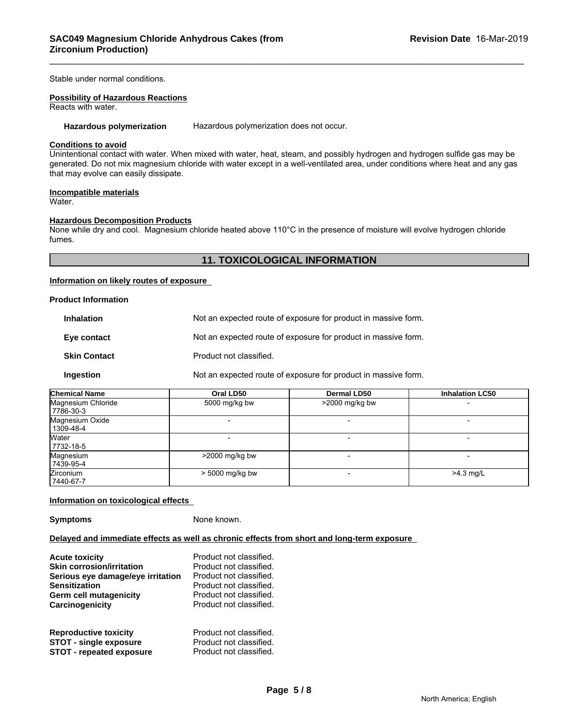Stable under normal conditions.

# **Possibility of Hazardous Reactions**

Reacts with water.

Hazardous polymerization Hazardous polymerization does not occur.

# **Conditions to avoid**

Unintentional contact with water. When mixed with water, heat, steam, and possibly hydrogen and hydrogen sulfide gas may be generated. Do not mix magnesium chloride with water except in a well-ventilated area, under conditions where heat and any gas that may evolve can easily dissipate.

### **Incompatible materials** Water.

# **Hazardous Decomposition Products**

None while dry and cool. Magnesium chloride heated above 110°C in the presence of moisture will evolve hydrogen chloride fumes.

# **11. TOXICOLOGICAL INFORMATION**

## **Information on likely routes of exposure**

## **Product Information**

| <b>Inhalation</b>   | Not an expected route of exposure for product in massive form. |
|---------------------|----------------------------------------------------------------|
| Eye contact         | Not an expected route of exposure for product in massive form. |
| <b>Skin Contact</b> | Product not classified.                                        |
| Ingestion           | Not an expected route of exposure for product in massive form. |

| <b>Chemical Name</b> | Oral LD50        | <b>Dermal LD50</b> | <b>Inhalation LC50</b> |
|----------------------|------------------|--------------------|------------------------|
| Magnesium Chloride   | 5000 mg/kg bw    | >2000 mg/kg bw     |                        |
| 7786-30-3            |                  |                    |                        |
| Magnesium Oxide      |                  |                    |                        |
| 1309-48-4            |                  |                    |                        |
| Water                |                  |                    |                        |
| 7732-18-5            |                  |                    |                        |
| Magnesium            | $>2000$ mg/kg bw |                    |                        |
| 7439-95-4            |                  |                    |                        |
| <b>Zirconium</b>     | > 5000 mg/kg bw  |                    | $>4.3$ mg/L            |
| 7440-67-7            |                  |                    |                        |

# **Information on toxicological effects**

**Symptoms** None known.

## **Delayed and immediate effects as well as chronic effects from short and long-term exposure**

| <b>Acute toxicity</b><br><b>Skin corrosion/irritation</b><br>Serious eye damage/eye irritation | Product not classified.<br>Product not classified.<br>Product not classified. |
|------------------------------------------------------------------------------------------------|-------------------------------------------------------------------------------|
| <b>Sensitization</b>                                                                           | Product not classified.                                                       |
| Germ cell mutagenicity                                                                         | Product not classified.                                                       |
| Carcinogenicity                                                                                | Product not classified.                                                       |
| <b>Reproductive toxicity</b>                                                                   | Product not classified.                                                       |
| <b>STOT - single exposure</b>                                                                  | Product not classified.                                                       |
| <b>STOT - repeated exposure</b>                                                                | Product not classified.                                                       |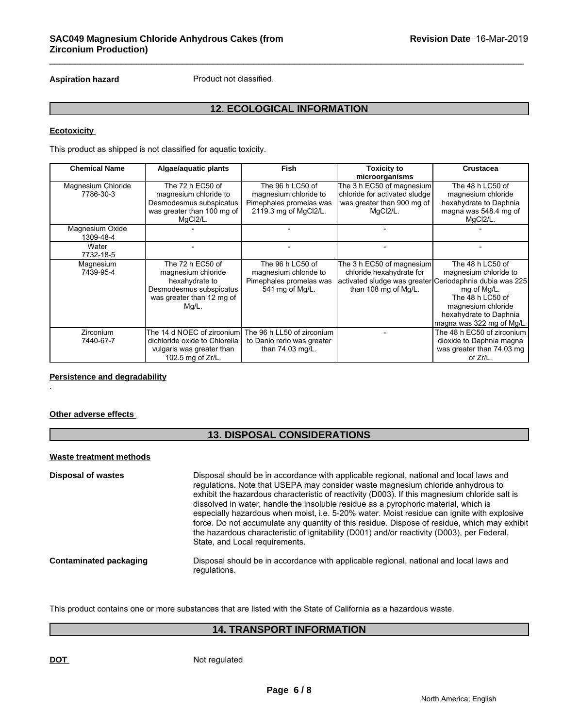Aspiration hazard **Product not classified.** 

# **12. ECOLOGICAL INFORMATION**

# **Ecotoxicity**

This product as shipped is not classified for aquatic toxicity.

| <b>Chemical Name</b>            | Algae/aquatic plants                                                                                                      | <b>Fish</b>                                                                                   | <b>Toxicity to</b><br>microorganisms                                                                                                     | <b>Crustacea</b>                                                                                                                                          |
|---------------------------------|---------------------------------------------------------------------------------------------------------------------------|-----------------------------------------------------------------------------------------------|------------------------------------------------------------------------------------------------------------------------------------------|-----------------------------------------------------------------------------------------------------------------------------------------------------------|
| Magnesium Chloride<br>7786-30-3 | The 72 h EC50 of<br>magnesium chloride to<br>Desmodesmus subspicatus<br>was greater than 100 mg of<br>MqCl2/L.            | The 96 h LC50 of<br>magnesium chloride to<br>Pimephales promelas was<br>2119.3 mg of MgCl2/L. | The 3 h EC50 of magnesium<br>chloride for activated sludge<br>was greater than 900 mg of<br>MgCl2/L.                                     | The 48 h LC50 of<br>magnesium chloride<br>hexahydrate to Daphnia<br>magna was 548.4 mg of<br>MqCl2/L.                                                     |
| Magnesium Oxide<br>1309-48-4    |                                                                                                                           |                                                                                               |                                                                                                                                          |                                                                                                                                                           |
| Water<br>7732-18-5              |                                                                                                                           |                                                                                               |                                                                                                                                          |                                                                                                                                                           |
| Magnesium<br>7439-95-4          | The 72 h EC50 of<br>magnesium chloride<br>hexahydrate to<br>Desmodesmus subspicatus<br>was greater than 12 mg of<br>Mg/L. | The 96 h LC50 of<br>magnesium chloride to<br>Pimephales promelas was<br>541 mg of Mg/L.       | The 3 h EC50 of magnesium<br>chloride hexahydrate for<br>activated sludge was greater Ceriodaphnia dubia was 225<br>than 108 mg of Mg/L. | The 48 h LC50 of<br>magnesium chloride to<br>mg of Mg/L.<br>The 48 h LC50 of<br>magnesium chloride<br>hexahydrate to Daphnia<br>magna was 322 mg of Mg/L. |
| <b>Zirconium</b><br>7440-67-7   | The 14 d NOEC of zirconium<br>dichloride oxide to Chlorella<br>vulgaris was greater than<br>102.5 mg of Zr/L.             | The 96 h LL50 of zirconium<br>to Danio rerio was greater<br>than 74.03 mg/L.                  |                                                                                                                                          | The 48 h EC50 of zirconium<br>dioxide to Daphnia magna<br>was greater than 74.03 mg<br>of Zr/L.                                                           |

# **Persistence and degradability**

# **Other adverse effects**

.

# **13. DISPOSAL CONSIDERATIONS**

# **Waste treatment methods**

| <b>Disposal of wastes</b>     | Disposal should be in accordance with applicable regional, national and local laws and<br>regulations. Note that USEPA may consider waste magnesium chloride anhydrous to<br>exhibit the hazardous characteristic of reactivity (D003). If this magnesium chloride salt is<br>dissolved in water, handle the insoluble residue as a pyrophoric material, which is<br>especially hazardous when moist, i.e. 5-20% water. Moist residue can ignite with explosive<br>force. Do not accumulate any quantity of this residue. Dispose of residue, which may exhibit |
|-------------------------------|-----------------------------------------------------------------------------------------------------------------------------------------------------------------------------------------------------------------------------------------------------------------------------------------------------------------------------------------------------------------------------------------------------------------------------------------------------------------------------------------------------------------------------------------------------------------|
|                               | the hazardous characteristic of ignitability (D001) and/or reactivity (D003), per Federal,<br>State, and Local requirements.                                                                                                                                                                                                                                                                                                                                                                                                                                    |
| <b>Contaminated packaging</b> | Disposal should be in accordance with applicable regional, national and local laws and<br>regulations.                                                                                                                                                                                                                                                                                                                                                                                                                                                          |

This product contains one or more substances that are listed with the State of California as a hazardous waste.

# **14. TRANSPORT INFORMATION**

**DOT** Not regulated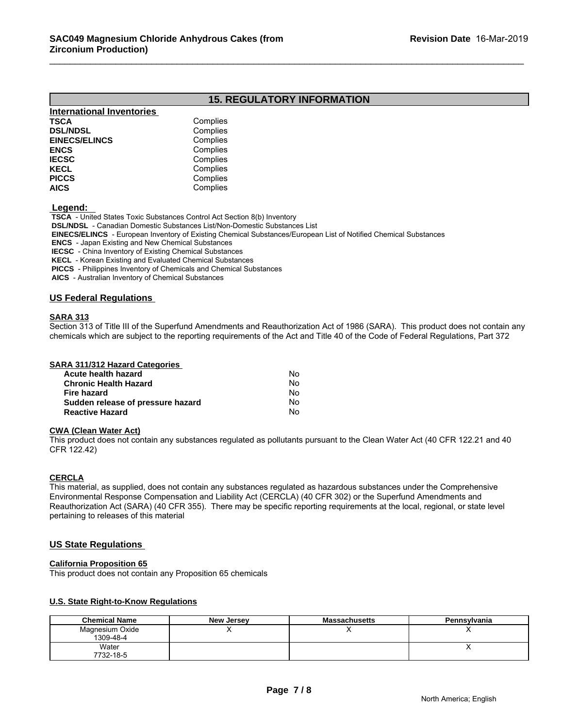# **15. REGULATORY INFORMATION**

| <b>International Inventories</b> |          |  |
|----------------------------------|----------|--|
| TSCA                             | Complies |  |
| <b>DSL/NDSL</b>                  | Complies |  |
| <b>EINECS/ELINCS</b>             | Complies |  |
| ENCS                             | Complies |  |
| <b>IECSC</b>                     | Complies |  |
| KECL                             | Complies |  |
| PICCS                            | Complies |  |
| AICS                             | Complies |  |

 **Legend:** 

 **TSCA** - United States Toxic Substances Control Act Section 8(b) Inventory  **DSL/NDSL** - Canadian Domestic Substances List/Non-Domestic Substances List  **EINECS/ELINCS** - European Inventory of Existing Chemical Substances/European List of Notified Chemical Substances  **ENCS** - Japan Existing and New Chemical Substances  **IECSC** - China Inventory of Existing Chemical Substances

 **KECL** - Korean Existing and Evaluated Chemical Substances

 **PICCS** - Philippines Inventory of Chemicals and Chemical Substances

 **AICS** - Australian Inventory of Chemical Substances

# **US Federal Regulations**

## **SARA 313**

Section 313 of Title III of the Superfund Amendments and Reauthorization Act of 1986 (SARA). This product does not contain any chemicals which are subject to the reporting requirements of the Act and Title 40 of the Code of Federal Regulations, Part 372

| SARA 311/312 Hazard Categories |    |  |
|--------------------------------|----|--|
| Acute health hazard            | Nο |  |
| <b>Chronic Health Hazard</b>   | Nο |  |
| Fire hazard                    | No |  |

**Sudden release of pressure hazard** No **Reactive Hazard** No

## **CWA (Clean Water Act)**

This product does not contain any substances regulated as pollutants pursuant to the Clean Water Act (40 CFR 122.21 and 40 CFR 122.42)

## **CERCLA**

This material, as supplied, does not contain any substances regulated as hazardous substances under the Comprehensive Environmental Response Compensation and Liability Act (CERCLA) (40 CFR 302) or the Superfund Amendments and Reauthorization Act (SARA) (40 CFR 355). There may be specific reporting requirements at the local, regional, or state level pertaining to releases of this material

# **US State Regulations**

## **California Proposition 65**

This product does not contain any Proposition 65 chemicals

## **U.S. State Right-to-Know Regulations**

| <b>Chemical Name</b>         | <b>New Jersey</b> | <b>Massachusetts</b> | Pennsylvania |
|------------------------------|-------------------|----------------------|--------------|
| Magnesium Oxide<br>1309-48-4 |                   |                      | $\cdot$      |
| Water<br>7732-18-5           |                   |                      |              |